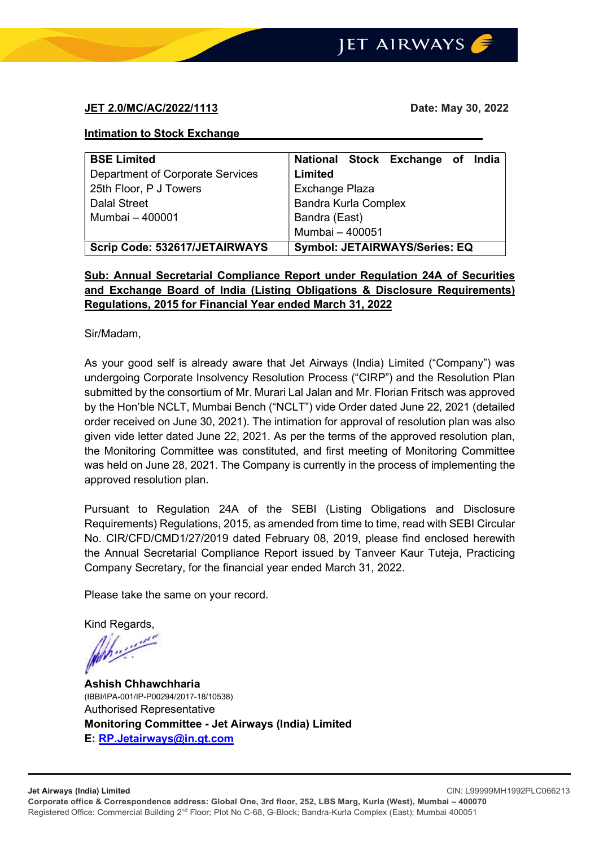### JET 2.0/MC/AC/2022/1113 Date: May 30, 2022

#### Intimation to Stock Exchange

| <b>BSE Limited</b>               | National Stock Exchange of India     |  |  |
|----------------------------------|--------------------------------------|--|--|
| Department of Corporate Services | Limited                              |  |  |
| 25th Floor, P J Towers           | Exchange Plaza                       |  |  |
| Dalal Street                     | <b>Bandra Kurla Complex</b>          |  |  |
| Mumbai - 400001                  | Bandra (East)                        |  |  |
|                                  | Mumbai - 400051                      |  |  |
| Scrip Code: 532617/JETAIRWAYS    | <b>Symbol: JETAIRWAYS/Series: EQ</b> |  |  |

# Sub: Annual Secretarial Compliance Report under Regulation 24A of Securities and Exchange Board of India (Listing Obligations & Disclosure Requirements) Regulations, 2015 for Financial Year ended March 31, 2022

Sir/Madam,

As your good self is already aware that Jet Airways (India) Limited ("Company") was undergoing Corporate Insolvency Resolution Process ("CIRP") and the Resolution Plan submitted by the consortium of Mr. Murari Lal Jalan and Mr. Florian Fritsch was approved by the Hon'ble NCLT, Mumbai Bench ("NCLT") vide Order dated June 22, 2021 (detailed order received on June 30, 2021). The intimation for approval of resolution plan was also given vide letter dated June 22, 2021. As per the terms of the approved resolution plan, the Monitoring Committee was constituted, and first meeting of Monitoring Committee was held on June 28, 2021. The Company is currently in the process of implementing the approved resolution plan.

Pursuant to Regulation 24A of the SEBI (Listing Obligations and Disclosure Requirements) Regulations, 2015, as amended from time to time, read with SEBI Circular No. CIR/CFD/CMD1/27/2019 dated February 08, 2019, please find enclosed herewith the Annual Secretarial Compliance Report issued by Tanveer Kaur Tuteja, Practicing Company Secretary, for the financial year ended March 31, 2022.

Please take the same on your record.

Kind Regards,

Ashish Chhawchharia (IBBI/IPA-001/IP-P00294/2017-18/10538) Authorised Representative Monitoring Committee - Jet Airways (India) Limited E: RP.Jetairways@in.gt.com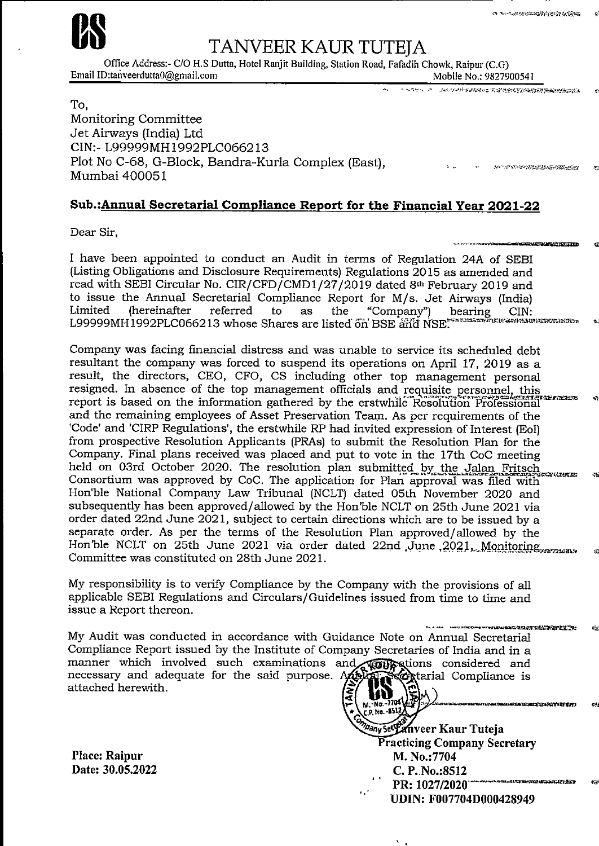

Email ID:tanveerdutta0@gmail.com

# TANVEER KAUR TUTEIA

Office Address:- C/O H.S Dutta, Hotel Ranjit Building, Station Road, Fafadih Chowk, Raipur (C.G)

Mobile No.: 9827900541

en an de fentale et an de feller et

**IN SERIES STANDARD AND STANDARD STANDARD STANDARD STANDARD STANDARD STANDARD STANDARD STANDARD STANDARD STANDARD** 

**RETAIL MEDICINE PERSONAL** 

ARTIST TIME TIME THE STANDARD REPORT **FACTOR** 

To. Monitoring Committee Jet Airways (India) Ltd CIN:- L99999MH1992PLC066213 Plot No C-68, G-Block, Bandra-Kurla Complex (East), Mumbai 400051

# Sub.: Annual Secretarial Compliance Report for the Financial Year 2021-22

Dear Sir,

I have been appointed to conduct an Audit in terms of Regulation 24A of SEBI (Listing Obligations and Disclosure Requirements) Regulations 2015 as amended and read with SEBI Circular No. CIR/CFD/CMD1/27/2019 dated 8th February 2019 and to issue the Annual Secretarial Compliance Report for M/s. Jet Airways (India) bearing CIN: "Company") Limited *(hereinafter* referred to the as L99999MH1992PLC066213 whose Shares are listed on BSE and NSE.

Company was facing financial distress and was unable to service its scheduled debt resultant the company was forced to suspend its operations on April 17, 2019 as a result, the directors, CEO, CFO, CS including other top management personal resigned. In absence of the top management officials and requisite personnel, this report is based on the information gathered by the erstwhile Resolution Professional and the remaining employees of Asset Preservation Team. As per requirements of the 'Code' and 'CIRP Regulations', the erstwhile RP had invited expression of Interest (EoI) from prospective Resolution Applicants (PRAs) to submit the Resolution Plan for the Company. Final plans received was placed and put to vote in the 17th CoC meeting held on 03rd October 2020. The resolution plan submitted by the Jalan Fritsch Consortium was approved by CoC. The application for Plan approval was filed with Hon'ble National Company Law Tribunal (NCLT) dated 05th November 2020 and subsequently has been approved/allowed by the Hon'ble NCLT on 25th June 2021 via order dated 22nd June 2021, subject to certain directions which are to be issued by a separate order. As per the terms of the Resolution Plan approved/allowed by the Hon'ble NCLT on 25th June 2021 via order dated 22nd June 2021, Monitoring Committee was constituted on 28th June 2021.

My responsibility is to verify Compliance by the Company with the provisions of all applicable SEBI Regulations and Circulars/Guidelines issued from time to time and issue a Report thereon.

t nastribumentus. My Audit was conducted in accordance with Guidance Note on Annual Secretarial Compliance Report issued by the Institute of Company Secretaries of India and in a manner which involved such examinations and **compations** considered and necessary and adequate for the said purpose. Apple and a Compliance is attached herewith. MV

Place: Raipur Date: 30.05.2022  $M - N_0 - 7704$ **P. No. - 8512,** hany sety anveer Kaur Tuteja **Practicing Company Secretary** M. No.:7704 C. P. No.:8512 PR: 1027/2020 **UDIN: F007704D000428949**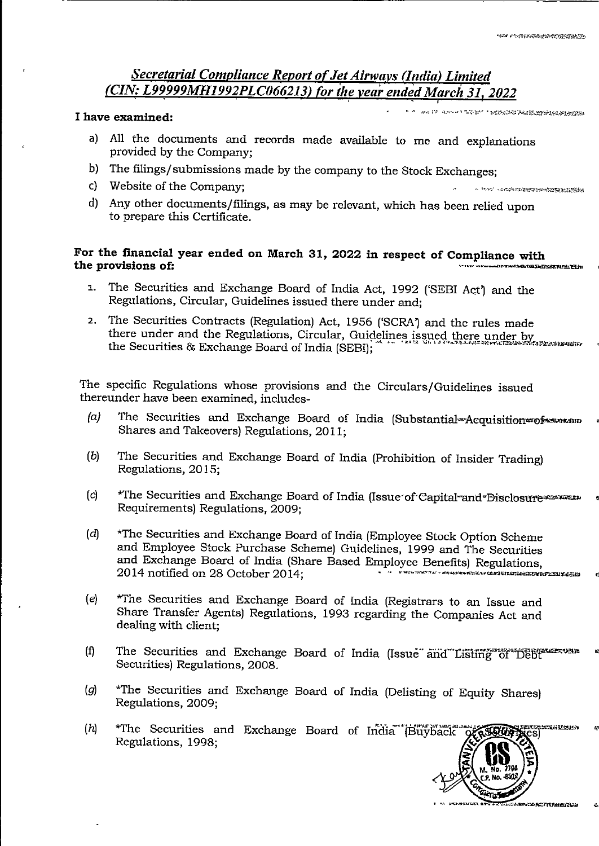A A PRODUCTS TO PARTICULAR A LA CARACTER DE LA CARACTER DE LA CARACTER DE LA CARACTER DE LA CARACTER DE LA CAR<br>DE LA CARACTER DE LA CARACTER DE LA CARACTER DE LA CARACTER DE LA CARACTER DE LA CARACTER DE LA CARACTER DE LA

# Secretarial Compliance Report of Jet Airways (India) Limited (CIN: L99999MH1992PLC066213) for the year ended March 31, 2022

#### I have examined:

AND IN CONTRACT THE PROPERTY INTERFERING AN INFORMATION

- a) All the documents and records made available to me and explanations provided by the Company:
- b) The filings/submissions made by the company to the Stock Exchanges;
- c) Website of the Company;
- d) Any other documents/filings, as may be relevant, which has been relied upon to prepare this Certificate.

#### For the financial year ended on March 31, 2022 in respect of Compliance with the provisions of: e de la construction de la construction de la construction de la construction de la construction de la construction de la construction de la construction de la construction de la construction de la construction de la const

- The Securities and Exchange Board of India Act, 1992 ('SEBI Act') and the  $1.$ Regulations, Circular, Guidelines issued there under and;
- 2. The Securities Contracts (Regulation) Act, 1956 ('SCRA') and the rules made there under and the Regulations, Circular, Guidelines issued there under by the Securities & Exchange Board of India (SEBI);

The specific Regulations whose provisions and the Circulars/Guidelines issued thereunder have been examined, includes-

- $(a)$ The Securities and Exchange Board of India (Substantial-Acquisition=ofexavisam Shares and Takeovers) Regulations, 2011:
- $(b)$ The Securities and Exchange Board of India (Prohibition of Insider Trading) Regulations, 2015;
- $(c)$ \*The Securities and Exchange Board of India (Issue of Capital and Disclosure measures Requirements) Regulations, 2009;
- \*The Securities and Exchange Board of India (Employee Stock Option Scheme  $(d)$ and Employee Stock Purchase Scheme) Guidelines, 1999 and The Securities and Exchange Board of India (Share Based Employee Benefits) Regulations, 2014 notified on 28 October 2014:
- $(e)$ \*The Securities and Exchange Board of India (Registrars to an Issue and Share Transfer Agents) Regulations, 1993 regarding the Companies Act and dealing with client;
- The Securities and Exchange Board of India (Issue and Listing of Debt  $(f)$ Securities) Regulations, 2008.
- \*The Securities and Exchange Board of India (Delisting of Equity Shares)  $\left( g \right)$ Regulations, 2009:
- $(h)$ \*The Securities and Exchange Board of India Buyback cecen bizina Regulations, 1998;



xevithinent<del>u</del>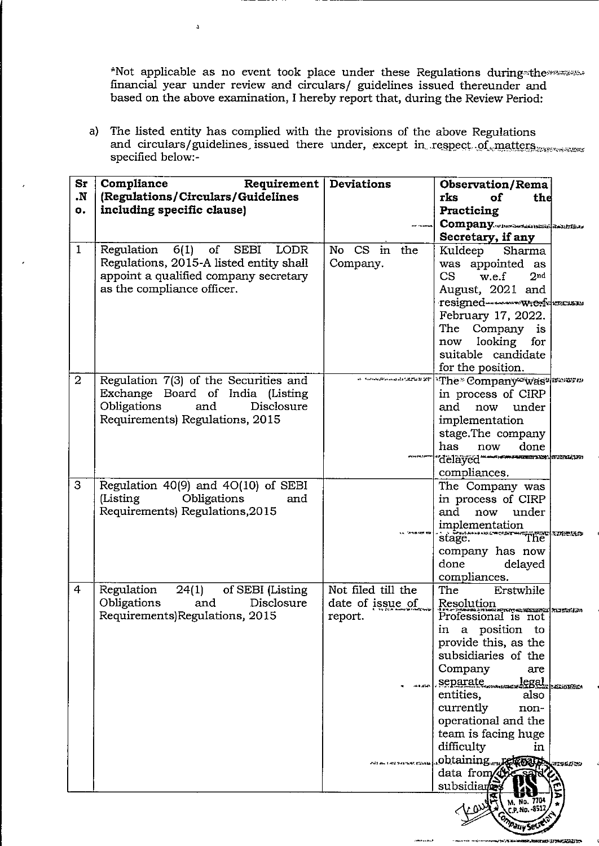\*Not applicable as no event took place under these Regulations during-the<br>financial year under review and circulars/ guidelines issued the<br>reunder and based on the above examination, I hereby report that, during the Review

a) The listed entity has complied with the provisions of the above Regulations<br>and circulars/guidelines, issued there under, except in respect of matters specified below:-

J.

| $S_{r}$<br><b>N.</b><br>о. | Compliance<br>Requirement<br>(Regulations/Circulars/Guidelines<br>including specific clause)                                                                                        | Deviations                                                                                                     | <b>Observation/Rema</b><br>rks<br>оf<br>the<br>Practicing<br>Company.commencemental designations<br>Secretary, if any                                                                                                                                                                                                                            |
|----------------------------|-------------------------------------------------------------------------------------------------------------------------------------------------------------------------------------|----------------------------------------------------------------------------------------------------------------|--------------------------------------------------------------------------------------------------------------------------------------------------------------------------------------------------------------------------------------------------------------------------------------------------------------------------------------------------|
| $\mathbf{1}$               | Regulation<br>6(1)<br><b>LODR</b><br><sub>of</sub><br><b>SEBI</b><br>Regulations, 2015-A listed entity shall<br>appoint a qualified company secretary<br>as the compliance officer. | No CS in<br>the<br>Company.                                                                                    | Kuldeep<br>Sharma<br>appointed as<br>was<br>CS<br>w.e.f<br>2 <sub>nd</sub><br>August, 2021 and<br>February 17, 2022.<br>The Company is<br>looking<br>for<br>now<br>suitable candidate<br>for the position.                                                                                                                                       |
| $\overline{2}$             | Regulation 7(3) of the Securities and<br>Exchange Board of India (Listing<br>Obligations<br>and<br>Disclosure<br>Requirements) Regulations, 2015                                    | al - 카드라이스 SAN and ada 신호 전 전 12 정 전 전 전                                                                       | 'The Company was known<br>in process of CIRP<br>and<br>now under<br>implementation<br>stage.The company<br>has<br>done<br>now<br>"delayed"<br>compliances.                                                                                                                                                                                       |
| 3                          | Regulation 40(9) and 4O(10) of SEBI<br>(Listing)<br>Obligations<br>and<br>Requirements) Regulations, 2015                                                                           |                                                                                                                | The Company was<br>in process of CIRP<br>and<br>under<br>now<br>implementation<br>The <b>Institute</b><br>stage.<br>company has now<br>done<br>delayed<br>compliances.                                                                                                                                                                           |
| $\overline{4}$             | Regulation<br>24(1)<br>of SEBI (Listing<br>Disclosure<br>Obligations<br>and<br>Requirements)Regulations, 2015                                                                       | Not filed till the<br>date of issue of<br>report.<br><b>ALL EXA</b><br>.<br>Mit der 1 and 9 ka heret, Edisatie | Erstwhile<br><b>The</b><br>Resolution<br>Professional is not<br>a position<br>in<br>to:<br>provide this, as the<br>subsidiaries of the<br>Company<br>are<br>separate legal man<br>entities,<br>also<br>currently<br>non-<br>operational and the<br>team is facing huge<br>difficulty<br>in<br>.obtainingr<br>HERSE ED<br>data from<br>subsidiane |
|                            |                                                                                                                                                                                     |                                                                                                                | No. 770                                                                                                                                                                                                                                                                                                                                          |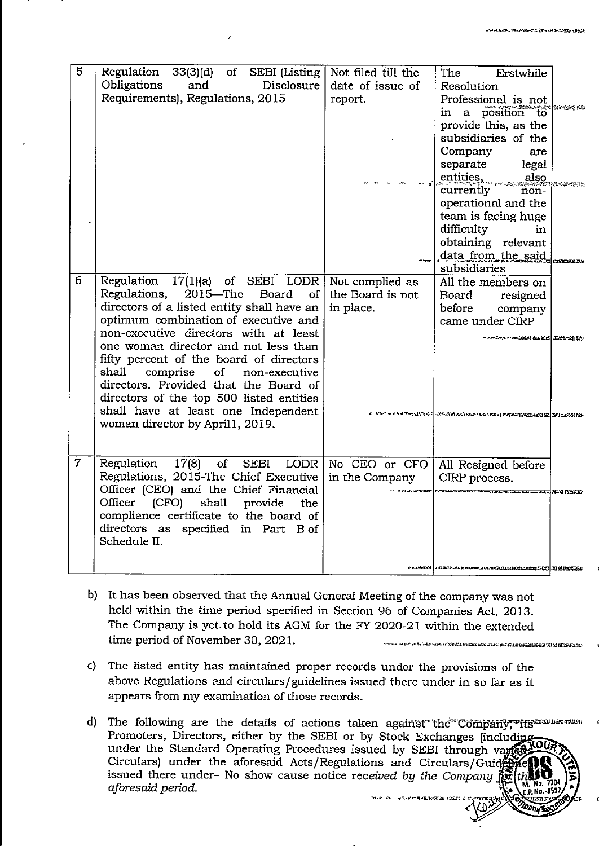| 5              | Regulation<br>33(3)(d)<br>of SEBI (Listing $\vert$<br>Obligations<br>Disclosure  <br>and<br>Requirements), Regulations, 2015                                                                                                                                                                                                                                                                                                                                                                                                     | Not filed till the<br>date of issue of<br>report. | The<br>Erstwhile<br>Resolution<br>Professional is not<br><b>s ze enero</b><br>in a position to<br>provide this, as the<br>subsidiaries of the<br>Company<br>are<br>separate<br>legal<br>entities.<br>also<br><b>FINANCIA</b><br>currently<br>non-<br>operational and the<br>team is facing huge<br>difficulty<br>in<br>obtaining relevant<br>data from the said<br><b>CHARATORIA</b><br>subsidiaries |
|----------------|----------------------------------------------------------------------------------------------------------------------------------------------------------------------------------------------------------------------------------------------------------------------------------------------------------------------------------------------------------------------------------------------------------------------------------------------------------------------------------------------------------------------------------|---------------------------------------------------|------------------------------------------------------------------------------------------------------------------------------------------------------------------------------------------------------------------------------------------------------------------------------------------------------------------------------------------------------------------------------------------------------|
| 6              | Regulation 17(1)(a) of SEBI LODR<br>$2015 -$ The<br><b>Board</b><br>Regulations,<br>of <sub>1</sub><br>directors of a listed entity shall have an<br>optimum combination of executive and<br>non-executive directors with at least<br>one woman director and not less than<br>fifty percent of the board of directors<br>shall<br>comprise<br>of<br>non-executive<br>directors. Provided that the Board of<br>directors of the top 500 listed entities<br>shall have at least one Independent<br>woman director by April1, 2019. | Not complied as<br>the Board is not<br>in place.  | All the members on<br>Board<br>resigned<br>before<br>company<br>came under CIRP<br><b>TARK COMMANDED ASSESSED</b>                                                                                                                                                                                                                                                                                    |
| $\overline{7}$ | Regulation<br>$17(8)$ of<br>Regulations, 2015-The Chief Executive<br>Officer (CEO) and the Chief Financial<br>Officer<br>(CFO)<br>shall<br>provide<br>the<br>compliance certificate to the board of<br>directors as specified in Part B of<br>Schedule II.                                                                                                                                                                                                                                                                       | SEBI LODR   No CEO or CFO<br>in the Company       | All Resigned before<br>CIRP process.<br><b>FLERE FRANCISCO DE LA CALIFACIA DE LA CALIFACIA DE LA CALIFACIA DE LA CALIFACIA DE LA CALIFACIA DE LA CALIFACIA</b><br>HUMA . SIRTEMATAN MATULULIKAN KACEMBERTAN WANDERS                                                                                                                                                                                  |

- b) It has been observed that the Annual General Meeting of the company was not held within the time period specified in Section 96 of Companies Act, 2013. The Company is yet to hold its AGM for the FY 2020-21 within the extended time period of November 30, 2021. THE WE ARE AN ALL AN ANGELES AND AN ANGELO AN ANGELIA SI SANG SANG SA
- c) The listed entity has maintained proper records under the provisions of the above Regulations and circulars/guidelines issued there under in so far as it appears from my examination of those records.
- Promoters, Directors, either by the SEBI or by Stock Exchanges (includin under the Standard Operating Procedures issued by SEBI through var Circulars) under the aforesaid Acts/Regulations and Circulars/Guid issued there under- No show cause notice received by the Company j aforesaid period.